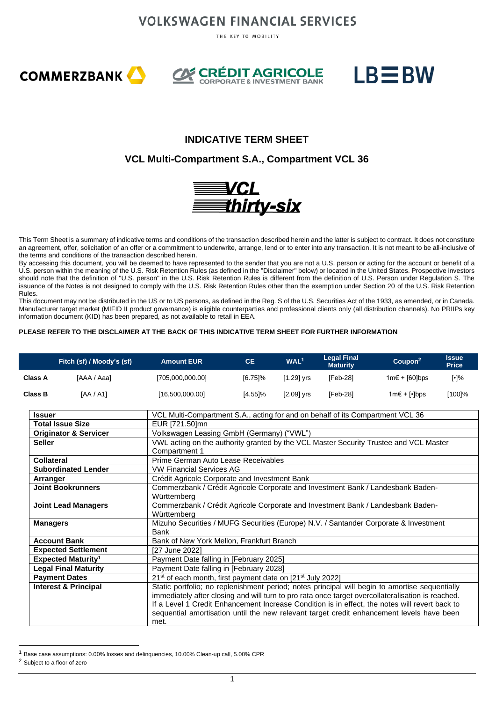THE KEY TO MOBILITY







### **INDICATIVE TERM SHEET**

#### **VCL Multi-Compartment S.A., Compartment VCL 36**



This Term Sheet is a summary of indicative terms and conditions of the transaction described herein and the latter is subject to contract. It does not constitute an agreement, offer, solicitation of an offer or a commitment to underwrite, arrange, lend or to enter into any transaction. It is not meant to be all-inclusive of the terms and conditions of the transaction described herein.

By accessing this document, you will be deemed to have represented to the sender that you are not a U.S. person or acting for the account or benefit of a U.S. person within the meaning of the U.S. Risk Retention Rules (as defined in the "Disclaimer" below) or located in the United States. Prospective investors should note that the definition of "U.S. person" in the U.S. Risk Retention Rules is different from the definition of U.S. Person under Regulation S. The issuance of the Notes is not designed to comply with the U.S. Risk Retention Rules other than the exemption under Section 20 of the U.S. Risk Retention Rules.

This document may not be distributed in the US or to US persons, as defined in the Reg. S of the U.S. Securities Act of the 1933, as amended, or in Canada. Manufacturer target market (MIFID II product governance) is eligible counterparties and professional clients only (all distribution channels). No PRIIPs key information document (KID) has been prepared, as not available to retail in EEA.

#### **PLEASE REFER TO THE DISCLAIMER AT THE BACK OF THIS INDICATIVE TERM SHEET FOR FURTHER INFORMATION**

|                   | Fitch (sf) / Moody's (sf)            | <b>Amount EUR</b>                                                                                                                                                                                                                                                                                                                                                                                          | CE.        | WAL <sup>1</sup> | <b>Legal Final</b><br><b>Maturity</b> | Coupon <sup>2</sup>  | <b>Issue</b><br><b>Price</b> |
|-------------------|--------------------------------------|------------------------------------------------------------------------------------------------------------------------------------------------------------------------------------------------------------------------------------------------------------------------------------------------------------------------------------------------------------------------------------------------------------|------------|------------------|---------------------------------------|----------------------|------------------------------|
| Class A           | [AAA / Aaa]                          | [705,000,000.00]                                                                                                                                                                                                                                                                                                                                                                                           | $[6.75]\%$ | $[1.29]$ yrs     | $[Feb-28]$                            | $1m€ + [60]bps$      | $[\cdot]\%$                  |
| Class B           | [AA/AA]                              | [16,500,000.00]                                                                                                                                                                                                                                                                                                                                                                                            | [4.55]%    | $[2.09]$ yrs     | $[Feb-28]$                            | 1m€ + [ $\cdot$ ]bps | [100]%                       |
| <b>Issuer</b>     |                                      | VCL Multi-Compartment S.A., acting for and on behalf of its Compartment VCL 36                                                                                                                                                                                                                                                                                                                             |            |                  |                                       |                      |                              |
|                   | <b>Total Issue Size</b>              | EUR [721.50]mn                                                                                                                                                                                                                                                                                                                                                                                             |            |                  |                                       |                      |                              |
|                   | <b>Originator &amp; Servicer</b>     | Volkswagen Leasing GmbH (Germany) ("VWL")                                                                                                                                                                                                                                                                                                                                                                  |            |                  |                                       |                      |                              |
| <b>Seller</b>     |                                      | VWL acting on the authority granted by the VCL Master Security Trustee and VCL Master<br>Compartment 1                                                                                                                                                                                                                                                                                                     |            |                  |                                       |                      |                              |
| <b>Collateral</b> |                                      | Prime German Auto Lease Receivables                                                                                                                                                                                                                                                                                                                                                                        |            |                  |                                       |                      |                              |
|                   | <b>Subordinated Lender</b>           | <b>VW Financial Services AG</b>                                                                                                                                                                                                                                                                                                                                                                            |            |                  |                                       |                      |                              |
| Arranger          |                                      | Crédit Agricole Corporate and Investment Bank                                                                                                                                                                                                                                                                                                                                                              |            |                  |                                       |                      |                              |
|                   | <b>Joint Bookrunners</b>             | Commerzbank / Crédit Agricole Corporate and Investment Bank / Landesbank Baden-<br>Württemberg                                                                                                                                                                                                                                                                                                             |            |                  |                                       |                      |                              |
|                   | <b>Joint Lead Managers</b>           | Commerzbank / Crédit Agricole Corporate and Investment Bank / Landesbank Baden-<br>Württemberg                                                                                                                                                                                                                                                                                                             |            |                  |                                       |                      |                              |
| <b>Managers</b>   |                                      | Mizuho Securities / MUFG Securities (Europe) N.V. / Santander Corporate & Investment<br>Bank                                                                                                                                                                                                                                                                                                               |            |                  |                                       |                      |                              |
|                   | <b>Account Bank</b>                  | Bank of New York Mellon, Frankfurt Branch                                                                                                                                                                                                                                                                                                                                                                  |            |                  |                                       |                      |                              |
|                   | <b>Expected Settlement</b>           | [27 June 2022]                                                                                                                                                                                                                                                                                                                                                                                             |            |                  |                                       |                      |                              |
|                   | <b>Expected Maturity<sup>1</sup></b> | Payment Date falling in [February 2025]                                                                                                                                                                                                                                                                                                                                                                    |            |                  |                                       |                      |                              |
|                   | <b>Legal Final Maturity</b>          | Payment Date falling in [February 2028]                                                                                                                                                                                                                                                                                                                                                                    |            |                  |                                       |                      |                              |
|                   | <b>Payment Dates</b>                 | 21 <sup>st</sup> of each month, first payment date on [21 <sup>st</sup> July 2022]                                                                                                                                                                                                                                                                                                                         |            |                  |                                       |                      |                              |
|                   | <b>Interest &amp; Principal</b>      | Static portfolio; no replenishment period; notes principal will begin to amortise sequentially<br>immediately after closing and will turn to pro rata once target overcollateralisation is reached.<br>If a Level 1 Credit Enhancement Increase Condition is in effect, the notes will revert back to<br>sequential amortisation until the new relevant target credit enhancement levels have been<br>met. |            |                  |                                       |                      |                              |

<sup>1</sup> Base case assumptions: 0.00% losses and delinquencies, 10.00% Clean-up call, 5.00% CPR

<sup>2</sup> Subject to a floor of zero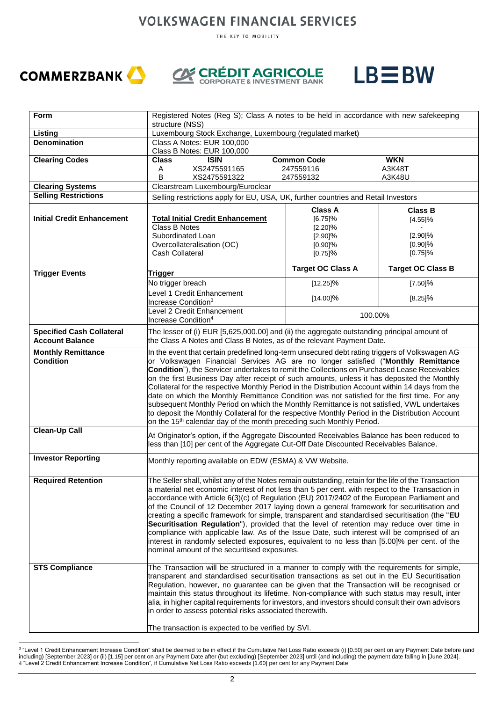THE KEY TO MOBILITY







| Form                                                       | Registered Notes (Reg S); Class A notes to be held in accordance with new safekeeping<br>structure (NSS)                                                                                         |                          |                          |  |  |  |
|------------------------------------------------------------|--------------------------------------------------------------------------------------------------------------------------------------------------------------------------------------------------|--------------------------|--------------------------|--|--|--|
| Listing                                                    | Luxembourg Stock Exchange, Luxembourg (regulated market)                                                                                                                                         |                          |                          |  |  |  |
| <b>Denomination</b>                                        | Class A Notes: EUR 100,000                                                                                                                                                                       |                          |                          |  |  |  |
|                                                            | Class B Notes: EUR 100,000                                                                                                                                                                       |                          |                          |  |  |  |
| <b>Clearing Codes</b>                                      | <b>ISIN</b><br>Class                                                                                                                                                                             | <b>Common Code</b>       | <b>WKN</b>               |  |  |  |
|                                                            | XS2475591165<br>Α                                                                                                                                                                                | 247559116                | A3K48T                   |  |  |  |
| <b>Clearing Systems</b>                                    | В<br>XS2475591322<br>Clearstream Luxembourg/Euroclear                                                                                                                                            | 247559132                | A3K48U                   |  |  |  |
| <b>Selling Restrictions</b>                                | Selling restrictions apply for EU, USA, UK, further countries and Retail Investors                                                                                                               |                          |                          |  |  |  |
|                                                            |                                                                                                                                                                                                  |                          |                          |  |  |  |
| <b>Initial Credit Enhancement</b>                          |                                                                                                                                                                                                  | <b>Class A</b>           | <b>Class B</b>           |  |  |  |
|                                                            | <b>Total Initial Credit Enhancement</b><br><b>Class B Notes</b>                                                                                                                                  | [6.75]%<br>[2.20]%       | [4.55]%                  |  |  |  |
|                                                            | Subordinated Loan                                                                                                                                                                                | [2.90]%                  | [2.90]%                  |  |  |  |
|                                                            | Overcollateralisation (OC)                                                                                                                                                                       | $[0.90]\%$               | $[0.90]\%$               |  |  |  |
|                                                            | Cash Collateral                                                                                                                                                                                  | [0.75]%                  | [0.75]%                  |  |  |  |
|                                                            |                                                                                                                                                                                                  | <b>Target OC Class A</b> | <b>Target OC Class B</b> |  |  |  |
| <b>Trigger Events</b>                                      | Trigger<br>No trigger breach                                                                                                                                                                     | $[12.25]\%$              | [7.50]%                  |  |  |  |
|                                                            | evel 1 Credit Enhancement                                                                                                                                                                        | [14.00]%                 | [8.25]%                  |  |  |  |
|                                                            | Increase Condition <sup>3</sup><br>Level 2 Credit Enhancement                                                                                                                                    |                          |                          |  |  |  |
|                                                            | Increase Condition <sup>4</sup>                                                                                                                                                                  | 100.00%                  |                          |  |  |  |
| <b>Specified Cash Collateral</b><br><b>Account Balance</b> | The lesser of (i) EUR [5,625,000.00] and (ii) the aggregate outstanding principal amount of<br>the Class A Notes and Class B Notes, as of the relevant Payment Date.                             |                          |                          |  |  |  |
| <b>Monthly Remittance</b>                                  | In the event that certain predefined long-term unsecured debt rating triggers of Volkswagen AG                                                                                                   |                          |                          |  |  |  |
| <b>Condition</b>                                           | or Volkswagen Financial Services AG are no longer satisfied ("Monthly Remittance                                                                                                                 |                          |                          |  |  |  |
|                                                            | Condition"), the Servicer undertakes to remit the Collections on Purchased Lease Receivables                                                                                                     |                          |                          |  |  |  |
|                                                            | on the first Business Day after receipt of such amounts, unless it has deposited the Monthly<br>Collateral for the respective Monthly Period in the Distribution Account within 14 days from the |                          |                          |  |  |  |
|                                                            |                                                                                                                                                                                                  |                          |                          |  |  |  |
|                                                            | date on which the Monthly Remittance Condition was not satisfied for the first time. For any<br>subsequent Monthly Period on which the Monthly Remittance is not satisfied, VWL undertakes       |                          |                          |  |  |  |
|                                                            | to deposit the Monthly Collateral for the respective Monthly Period in the Distribution Account                                                                                                  |                          |                          |  |  |  |
|                                                            | on the 15 <sup>th</sup> calendar day of the month preceding such Monthly Period.                                                                                                                 |                          |                          |  |  |  |
| <b>Clean-Up Call</b>                                       | At Originator's option, if the Aggregate Discounted Receivables Balance has been reduced to                                                                                                      |                          |                          |  |  |  |
|                                                            | less than [10] per cent of the Aggregate Cut-Off Date Discounted Receivables Balance.                                                                                                            |                          |                          |  |  |  |
| <b>Investor Reporting</b>                                  |                                                                                                                                                                                                  |                          |                          |  |  |  |
|                                                            | Monthly reporting available on EDW (ESMA) & VW Website.                                                                                                                                          |                          |                          |  |  |  |
| <b>Required Retention</b>                                  | The Seller shall, whilst any of the Notes remain outstanding, retain for the life of the Transaction                                                                                             |                          |                          |  |  |  |
|                                                            | a material net economic interest of not less than 5 per cent. with respect to the Transaction in                                                                                                 |                          |                          |  |  |  |
|                                                            | accordance with Article 6(3)(c) of Regulation (EU) 2017/2402 of the European Parliament and                                                                                                      |                          |                          |  |  |  |
|                                                            | of the Council of 12 December 2017 laying down a general framework for securitisation and                                                                                                        |                          |                          |  |  |  |
|                                                            | creating a specific framework for simple, transparent and standardised securitisation (the "EU                                                                                                   |                          |                          |  |  |  |
|                                                            | Securitisation Regulation"), provided that the level of retention may reduce over time in                                                                                                        |                          |                          |  |  |  |
|                                                            | compliance with applicable law. As of the Issue Date, such interest will be comprised of an                                                                                                      |                          |                          |  |  |  |
|                                                            | interest in randomly selected exposures, equivalent to no less than [5.00]% per cent. of the                                                                                                     |                          |                          |  |  |  |
|                                                            | nominal amount of the securitised exposures.                                                                                                                                                     |                          |                          |  |  |  |
| <b>STS Compliance</b>                                      | The Transaction will be structured in a manner to comply with the requirements for simple,                                                                                                       |                          |                          |  |  |  |
|                                                            | transparent and standardised securitisation transactions as set out in the EU Securitisation                                                                                                     |                          |                          |  |  |  |
|                                                            | Regulation, however, no guarantee can be given that the Transaction will be recognised or                                                                                                        |                          |                          |  |  |  |
|                                                            | maintain this status throughout its lifetime. Non-compliance with such status may result, inter                                                                                                  |                          |                          |  |  |  |
|                                                            | alia, in higher capital requirements for investors, and investors should consult their own advisors                                                                                              |                          |                          |  |  |  |
|                                                            | in order to assess potential risks associated therewith.                                                                                                                                         |                          |                          |  |  |  |
|                                                            | The transaction is expected to be verified by SVI.                                                                                                                                               |                          |                          |  |  |  |
|                                                            |                                                                                                                                                                                                  |                          |                          |  |  |  |

<sup>3</sup> "Level 1 Credit Enhancement Increase Condition" shall be deemed to be in effect if the Cumulative Net Loss Ratio exceeds (i) [0.50] per cent on any Payment Date before (and including) [September 2023] or (ii) [1.15] per cent on any Payment Date after (but excluding) [September 2023] until (and including) the payment date falling in [June 2024]. 4 "Level 2 Credit Enhancement Increase Condition", if Cumulative Net Loss Ratio exceeds [1.60] per cent for any Payment Date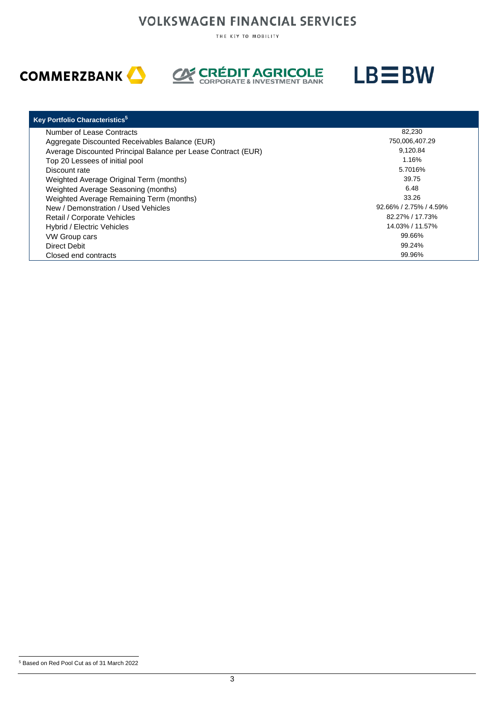THE KEY TO MOBILITY







| <b>Key Portfolio Characteristics</b> <sup>5</sup>             |                             |
|---------------------------------------------------------------|-----------------------------|
| Number of Lease Contracts                                     | 82,230                      |
| Aggregate Discounted Receivables Balance (EUR)                | 750,006,407.29              |
| Average Discounted Principal Balance per Lease Contract (EUR) | 9.120.84                    |
| Top 20 Lessees of initial pool                                | 1.16%                       |
| Discount rate                                                 | 5.7016%                     |
| Weighted Average Original Term (months)                       | 39.75                       |
| Weighted Average Seasoning (months)                           | 6.48                        |
| Weighted Average Remaining Term (months)                      | 33.26                       |
| New / Demonstration / Used Vehicles                           | $92.66\% / 2.75\% / 4.59\%$ |
| Retail / Corporate Vehicles                                   | 82.27% / 17.73%             |
| Hybrid / Electric Vehicles                                    | 14.03% / 11.57%             |
| <b>VW Group cars</b>                                          | 99.66%                      |
| Direct Debit                                                  | 99.24%                      |
| Closed end contracts                                          | 99.96%                      |

<sup>5</sup> Based on Red Pool Cut as of 31 March 2022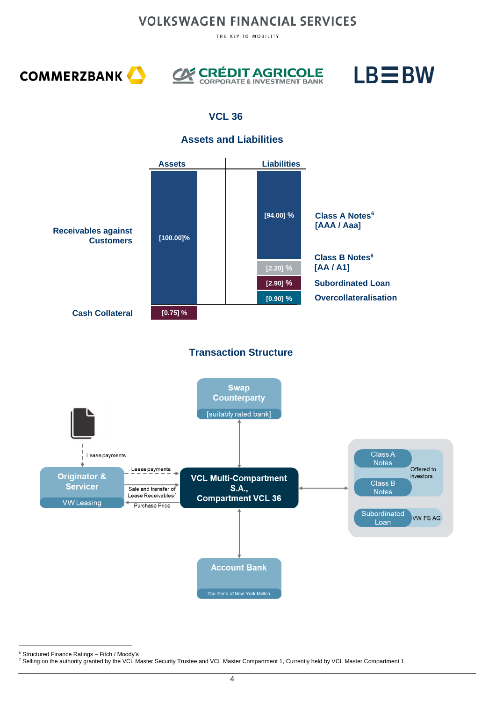THE KEY TO MOBILITY







### **VCL 36**

#### **Assets and Liabilities**



**\_\_\_\_\_\_\_\_\_\_\_\_\_\_\_\_\_\_\_\_\_\_\_\_\_\_\_\_\_\_\_\_\_\_\_** <sup>6</sup> Structured Finance Ratings – Fitch / Moody's

<sup>7</sup> Selling on the authority granted by the VCL Master Security Trustee and VCL Master Compartment 1, Currently held by VCL Master Compartment 1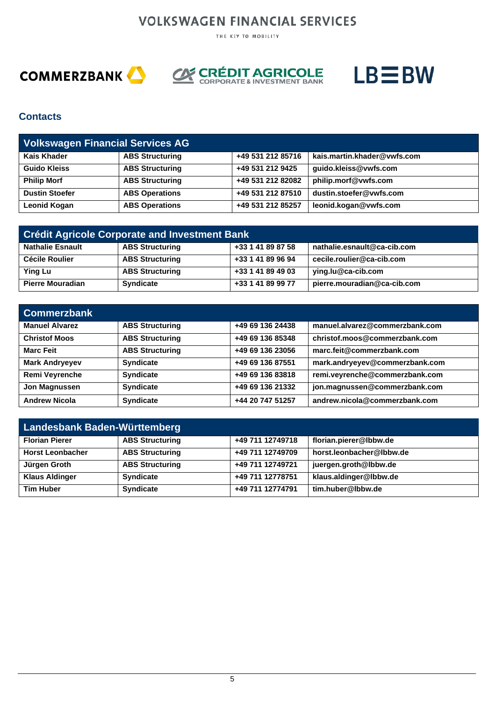THE KEY TO MOBILITY







#### **Contacts**

| <b>Volkswagen Financial Services AG</b> |                        |                   |                             |  |  |  |
|-----------------------------------------|------------------------|-------------------|-----------------------------|--|--|--|
| <b>Kais Khader</b>                      | <b>ABS Structuring</b> | +49 531 212 85716 | kais.martin.khader@vwfs.com |  |  |  |
| <b>Guido Kleiss</b>                     | <b>ABS Structuring</b> | +49 531 212 9425  | guido.kleiss@vwfs.com       |  |  |  |
| <b>Philip Morf</b>                      | <b>ABS Structuring</b> | +49 531 212 82082 | philip.morf@vwfs.com        |  |  |  |
| <b>Dustin Stoefer</b>                   | <b>ABS Operations</b>  | +49 531 212 87510 | dustin.stoefer@vwfs.com     |  |  |  |
| <b>Leonid Kogan</b>                     | <b>ABS Operations</b>  | +49 531 212 85257 | leonid.kogan@vwfs.com       |  |  |  |

| <b>Crédit Agricole Corporate and Investment Bank</b> |                        |                   |                             |  |  |
|------------------------------------------------------|------------------------|-------------------|-----------------------------|--|--|
| <b>Nathalie Esnault</b>                              | <b>ABS Structuring</b> | +33 1 41 89 87 58 | nathalie.esnault@ca-cib.com |  |  |
| Cécile Roulier                                       | <b>ABS Structuring</b> | +33 1 41 89 96 94 | cecile.roulier@ca-cib.com   |  |  |
| <b>Ying Lu</b>                                       | <b>ABS Structuring</b> | +33 1 41 89 49 03 | ying.lu@ca-cib.com          |  |  |
| <b>Pierre Mouradian</b>                              | <b>Syndicate</b>       | +33 1 41 89 99 77 | pierre.mouradian@ca-cib.com |  |  |

| <b>Commerzbank</b>    |                        |                  |                                |
|-----------------------|------------------------|------------------|--------------------------------|
| <b>Manuel Alvarez</b> | <b>ABS Structuring</b> | +49 69 136 24438 | manuel.alvarez@commerzbank.com |
| <b>Christof Moos</b>  | <b>ABS Structuring</b> | +49 69 136 85348 | christof.moos@commerzbank.com  |
| <b>Marc Feit</b>      | <b>ABS Structuring</b> | +49 69 136 23056 | marc.feit@commerzbank.com      |
| <b>Mark Andryeyev</b> | <b>Syndicate</b>       | +49 69 136 87551 | mark.andryeyev@commerzbank.com |
| Remi Veyrenche        | <b>Syndicate</b>       | +49 69 136 83818 | remi.veyrenche@commerzbank.com |
| Jon Magnussen         | <b>Syndicate</b>       | +49 69 136 21332 | jon.magnussen@commerzbank.com  |
| <b>Andrew Nicola</b>  | <b>Syndicate</b>       | +44 20 747 51257 | andrew.nicola@commerzbank.com  |

| Landesbank Baden-Württemberg |                        |                  |                          |  |  |
|------------------------------|------------------------|------------------|--------------------------|--|--|
| <b>Florian Pierer</b>        | <b>ABS Structuring</b> | +49 711 12749718 | florian.pierer@lbbw.de   |  |  |
| <b>Horst Leonbacher</b>      | <b>ABS Structuring</b> | +49 711 12749709 | horst.leonbacher@lbbw.de |  |  |
| Jürgen Groth                 | <b>ABS Structuring</b> | +49 711 12749721 | juergen.groth@lbbw.de    |  |  |
| <b>Klaus Aldinger</b>        | <b>Syndicate</b>       | +49 711 12778751 | klaus.aldinger@lbbw.de   |  |  |
| <b>Tim Huber</b>             | <b>Syndicate</b>       | +49 711 12774791 | tim.huber@lbbw.de        |  |  |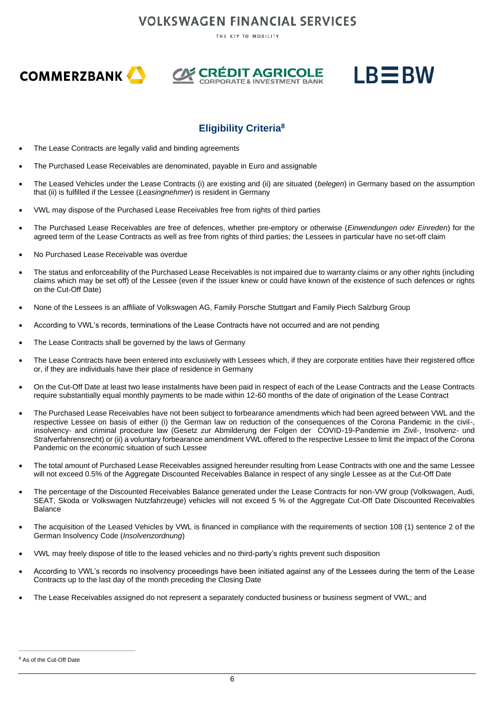THE KEY TO MOBILITY







### **Eligibility Criteria 8**

- The Lease Contracts are legally valid and binding agreements
- The Purchased Lease Receivables are denominated, payable in Euro and assignable
- The Leased Vehicles under the Lease Contracts (i) are existing and (ii) are situated (*belegen*) in Germany based on the assumption that (ii) is fulfilled if the Lessee (*Leasingnehmer*) is resident in Germany
- VWL may dispose of the Purchased Lease Receivables free from rights of third parties
- The Purchased Lease Receivables are free of defences, whether pre-emptory or otherwise (*Einwendungen oder Einreden*) for the agreed term of the Lease Contracts as well as free from rights of third parties; the Lessees in particular have no set-off claim
- No Purchased Lease Receivable was overdue
- The status and enforceability of the Purchased Lease Receivables is not impaired due to warranty claims or any other rights (including claims which may be set off) of the Lessee (even if the issuer knew or could have known of the existence of such defences or rights on the Cut-Off Date)
- None of the Lessees is an affiliate of Volkswagen AG, Family Porsche Stuttgart and Family Piech Salzburg Group
- According to VWL's records, terminations of the Lease Contracts have not occurred and are not pending
- The Lease Contracts shall be governed by the laws of Germany
- The Lease Contracts have been entered into exclusively with Lessees which, if they are corporate entities have their registered office or, if they are individuals have their place of residence in Germany
- On the Cut-Off Date at least two lease instalments have been paid in respect of each of the Lease Contracts and the Lease Contracts require substantially equal monthly payments to be made within 12-60 months of the date of origination of the Lease Contract
- The Purchased Lease Receivables have not been subject to forbearance amendments which had been agreed between VWL and the respective Lessee on basis of either (i) the German law on reduction of the consequences of the Corona Pandemic in the civil-, insolvency- and criminal procedure law (Gesetz zur Abmilderung der Folgen der COVID-19-Pandemie im Zivil-, Insolvenz- und Strafverfahrensrecht) or (ii) a voluntary forbearance amendment VWL offered to the respective Lessee to limit the impact of the Corona Pandemic on the economic situation of such Lessee
- The total amount of Purchased Lease Receivables assigned hereunder resulting from Lease Contracts with one and the same Lessee will not exceed 0.5% of the Aggregate Discounted Receivables Balance in respect of any single Lessee as at the Cut-Off Date
- The percentage of the Discounted Receivables Balance generated under the Lease Contracts for non-VW group (Volkswagen, Audi, SEAT, Skoda or Volkswagen Nutzfahrzeuge) vehicles will not exceed 5 % of the Aggregate Cut-Off Date Discounted Receivables Balance
- The acquisition of the Leased Vehicles by VWL is financed in compliance with the requirements of section 108 (1) sentence 2 of the German Insolvency Code (*Insolvenzordnung*)
- VWL may freely dispose of title to the leased vehicles and no third-party's rights prevent such disposition
- According to VWL's records no insolvency proceedings have been initiated against any of the Lessees during the term of the Lease Contracts up to the last day of the month preceding the Closing Date
- The Lease Receivables assigned do not represent a separately conducted business or business segment of VWL; and

**\_\_\_\_\_\_\_\_\_\_\_\_\_\_\_\_\_\_\_\_\_\_\_\_\_\_\_\_\_\_\_\_\_\_\_\_**

<sup>8</sup> As of the Cut-Off Date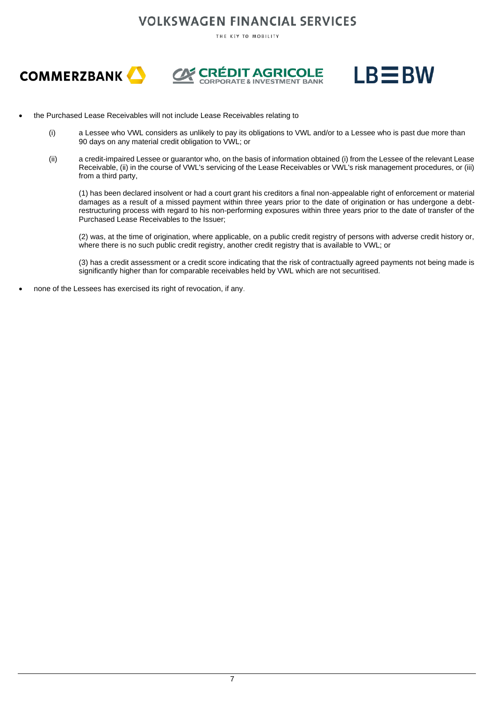THE KEY TO MOBILITY







- the Purchased Lease Receivables will not include Lease Receivables relating to
	- (i) a Lessee who VWL considers as unlikely to pay its obligations to VWL and/or to a Lessee who is past due more than 90 days on any material credit obligation to VWL; or
	- (ii) a credit-impaired Lessee or guarantor who, on the basis of information obtained (i) from the Lessee of the relevant Lease Receivable, (ii) in the course of VWL's servicing of the Lease Receivables or VWL's risk management procedures, or (iii) from a third party,

(1) has been declared insolvent or had a court grant his creditors a final non-appealable right of enforcement or material damages as a result of a missed payment within three years prior to the date of origination or has undergone a debtrestructuring process with regard to his non-performing exposures within three years prior to the date of transfer of the Purchased Lease Receivables to the Issuer;

(2) was, at the time of origination, where applicable, on a public credit registry of persons with adverse credit history or, where there is no such public credit registry, another credit registry that is available to VWL; or

(3) has a credit assessment or a credit score indicating that the risk of contractually agreed payments not being made is significantly higher than for comparable receivables held by VWL which are not securitised.

• none of the Lessees has exercised its right of revocation, if any.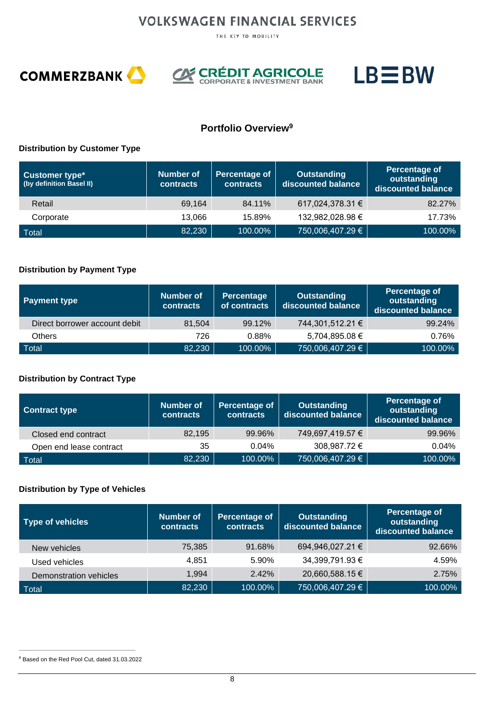THE KEY TO MOBILITY







### **Portfolio Overview<sup>9</sup>**

#### **Distribution by Customer Type**

| <b>Customer type*</b><br>(by definition Basel II) | Number of<br><b>contracts</b> | Percentage of<br><b>contracts</b> | <b>Outstanding</b><br>discounted balance | Percentage of<br>outstanding<br>discounted balance |
|---------------------------------------------------|-------------------------------|-----------------------------------|------------------------------------------|----------------------------------------------------|
| Retail                                            | 69,164                        | 84.11%                            | 617,024,378.31 €                         | 82.27%                                             |
| Corporate                                         | 13.066                        | 15.89%                            | 132,982,028.98 €                         | 17.73%                                             |
| Total                                             | 82,230                        | 100.00%                           | 750,006,407.29 €                         | 100.00%                                            |

#### **Distribution by Payment Type**

| <b>Payment type</b>           | <b>Number of</b><br><b>contracts</b> | Percentage<br>of contracts | <b>Outstanding</b><br>discounted balance | Percentage of<br>outstanding<br>discounted balance |
|-------------------------------|--------------------------------------|----------------------------|------------------------------------------|----------------------------------------------------|
| Direct borrower account debit | 81,504                               | 99.12%                     | 744,301,512.21 €                         | 99.24%                                             |
| <b>Others</b>                 | 726                                  | 0.88%                      | 5,704,895.08 €                           | 0.76%                                              |
| Total                         | 82,230                               | 100.00%                    | 750,006,407.29 €                         | 100.00%                                            |

#### **Distribution by Contract Type**

| <b>Contract type</b>    | Number of<br><b>contracts</b> | Percentage of<br><b>contracts</b> | <b>Outstanding</b><br>discounted balance | <b>Percentage of</b><br>outstanding<br>discounted balance |
|-------------------------|-------------------------------|-----------------------------------|------------------------------------------|-----------------------------------------------------------|
| Closed end contract     | 82,195                        | 99.96%                            | 749,697,419.57 €                         | 99.96%                                                    |
| Open end lease contract | 35                            | 0.04%                             | 308,987.72 €                             | 0.04%                                                     |
| <b>Total</b>            | 82,230                        | 100.00%                           | 750,006,407.29 €                         | 100.00%                                                   |

#### **Distribution by Type of Vehicles**

| Type of vehicles              | Number of<br><b>contracts</b> | Percentage of<br>contracts | <b>Outstanding</b><br>discounted balance | <b>Percentage of</b><br>outstanding<br>discounted balance |
|-------------------------------|-------------------------------|----------------------------|------------------------------------------|-----------------------------------------------------------|
| New vehicles                  | 75,385                        | 91.68%                     | 694,946,027.21 €                         | 92.66%                                                    |
| Used vehicles                 | 4,851                         | 5.90%                      | 34,399,791.93 €                          | 4.59%                                                     |
| <b>Demonstration vehicles</b> | 1,994                         | 2.42%                      | 20,660,588.15 €                          | 2.75%                                                     |
| Total                         | 82,230                        | 100.00%                    | 750,006,407.29 €                         | 100.00%                                                   |

**\_\_\_\_\_\_\_\_\_\_\_\_\_\_\_\_\_\_\_\_\_\_\_\_\_\_\_\_\_\_\_\_\_\_\_\_** <sup>9</sup> Based on the Red Pool Cut, dated 31.03.2022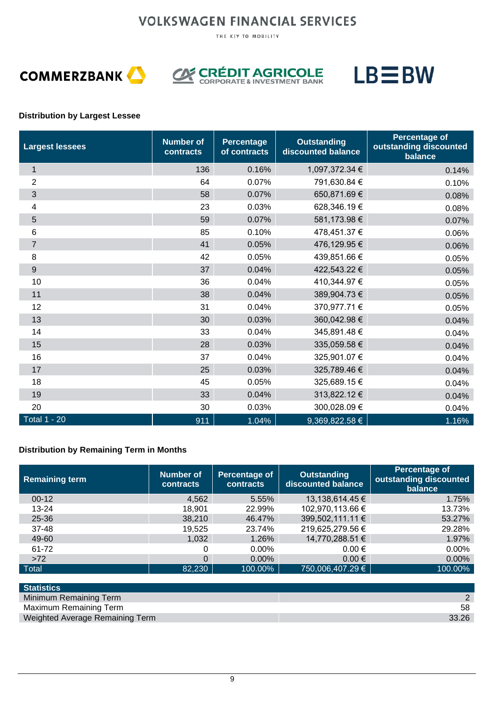THE KEY TO MOBILITY





**CORÉDIT AGRICOLE** 



#### **Distribution by Largest Lessee**

| <b>Largest lessees</b> | <b>Number of</b><br>contracts | <b>Percentage</b><br>of contracts | <b>Outstanding</b><br>discounted balance | <b>Percentage of</b><br>outstanding discounted<br>balance |
|------------------------|-------------------------------|-----------------------------------|------------------------------------------|-----------------------------------------------------------|
| $\mathbf{1}$           | 136                           | 0.16%                             | 1,097,372.34 €                           | 0.14%                                                     |
| $\overline{2}$         | 64                            | 0.07%                             | 791,630.84 €                             | 0.10%                                                     |
| 3                      | 58                            | 0.07%                             | 650,871.69 €                             | 0.08%                                                     |
| 4                      | 23                            | 0.03%                             | 628,346.19€                              | 0.08%                                                     |
| 5                      | 59                            | 0.07%                             | 581,173.98 €                             | 0.07%                                                     |
| 6                      | 85                            | 0.10%                             | 478,451.37 €                             | 0.06%                                                     |
| $\overline{7}$         | 41                            | 0.05%                             | 476,129.95 €                             | 0.06%                                                     |
| 8                      | 42                            | 0.05%                             | 439,851.66 €                             | 0.05%                                                     |
| $\boldsymbol{9}$       | 37                            | 0.04%                             | 422,543.22 €                             | 0.05%                                                     |
| 10                     | 36                            | 0.04%                             | 410,344.97 €                             | 0.05%                                                     |
| 11                     | 38                            | 0.04%                             | 389,904.73 €                             | 0.05%                                                     |
| 12                     | 31                            | 0.04%                             | 370,977.71 €                             | 0.05%                                                     |
| 13                     | 30                            | 0.03%                             | 360,042.98 €                             | 0.04%                                                     |
| 14                     | 33                            | 0.04%                             | 345,891.48 €                             | 0.04%                                                     |
| 15                     | 28                            | 0.03%                             | 335,059.58 €                             | 0.04%                                                     |
| 16                     | 37                            | 0.04%                             | 325,901.07 €                             | 0.04%                                                     |
| 17                     | 25                            | 0.03%                             | 325,789.46 €                             | 0.04%                                                     |
| 18                     | 45                            | 0.05%                             | 325,689.15€                              | 0.04%                                                     |
| 19                     | 33                            | 0.04%                             | 313,822.12 €                             | 0.04%                                                     |
| 20                     | 30                            | 0.03%                             | 300,028.09€                              | 0.04%                                                     |
| <b>Total 1 - 20</b>    | 911                           | 1.04%                             | 9,369,822.58 €                           | 1.16%                                                     |

#### **Distribution by Remaining Term in Months**

| <b>Remaining term</b> | Number of<br><b>contracts</b> | Percentage of<br><b>contracts</b> | <b>Outstanding</b><br>discounted balance | Percentage of<br>outstanding discounted<br>balance |
|-----------------------|-------------------------------|-----------------------------------|------------------------------------------|----------------------------------------------------|
| $00-12$               | 4,562                         | 5.55%                             | 13,138,614.45 €                          | 1.75%                                              |
| 13-24                 | 18,901                        | 22.99%                            | 102,970,113.66 €                         | 13.73%                                             |
| $25 - 36$             | 38,210                        | 46.47%                            | 399,502,111.11 €                         | 53.27%                                             |
| 37-48                 | 19,525                        | 23.74%                            | 219,625,279.56 €                         | 29.28%                                             |
| 49-60                 | 1,032                         | 1.26%                             | 14,770,288.51 €                          | 1.97%                                              |
| 61-72                 | 0                             | $0.00\%$                          | $0.00 \in$                               | $0.00\%$                                           |
| >72                   | $\Omega$                      | $0.00\%$                          | $0.00 \in$                               | $0.00\%$                                           |
| Total                 | 82,230                        | 100.00%                           | 750,006,407.29 €                         | 100.00%                                            |

| <b>Statistics</b>               |       |
|---------------------------------|-------|
| Minimum Remaining Term          |       |
| Maximum Remaining Term          | 58    |
| Weighted Average Remaining Term | 33.26 |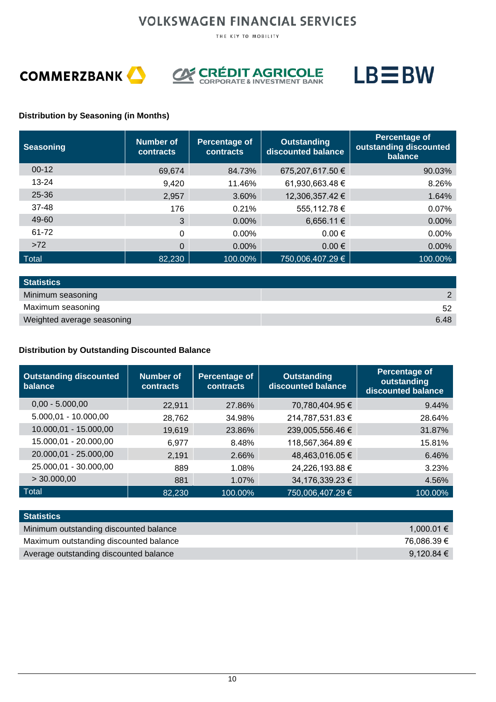THE KEY TO MOBILITY







#### **Distribution by Seasoning (in Months)**

| <b>Seasoning</b> | Number of<br>contracts | Percentage of<br>contracts | <b>Outstanding</b><br>discounted balance | Percentage of<br>outstanding discounted<br>balance |
|------------------|------------------------|----------------------------|------------------------------------------|----------------------------------------------------|
| $00-12$          | 69,674                 | 84.73%                     | 675,207,617.50 €                         | 90.03%                                             |
| $13 - 24$        | 9,420                  | 11.46%                     | 61,930,663.48 €                          | 8.26%                                              |
| $25 - 36$        | 2,957                  | 3.60%                      | 12,306,357.42 €                          | 1.64%                                              |
| $37 - 48$        | 176                    | 0.21%                      | 555,112.78 €                             | 0.07%                                              |
| 49-60            | 3                      | $0.00\%$                   | 6,656.11 €                               | 0.00%                                              |
| 61-72            | $\Omega$               | $0.00\%$                   | $0.00 \in$                               | $0.00\%$                                           |
| >72              | $\Omega$               | $0.00\%$                   | $0.00 \in$                               | 0.00%                                              |
| Total            | 82,230                 | 100.00%                    | 750,006,407.29 €                         | 100.00%                                            |

| <b>Statistics</b>          |      |
|----------------------------|------|
| Minimum seasoning          |      |
| Maximum seasoning          |      |
| Weighted average seasoning | 6.48 |

#### **Distribution by Outstanding Discounted Balance**

| <b>Outstanding discounted</b><br>balance | <b>Number of</b><br><b>contracts</b> | Percentage of<br><b>contracts</b> | <b>Outstanding</b><br>discounted balance | Percentage of<br>outstanding<br>discounted balance |
|------------------------------------------|--------------------------------------|-----------------------------------|------------------------------------------|----------------------------------------------------|
| $0,00 - 5.000,00$                        | 22,911                               | 27.86%                            | 70,780,404.95 €                          | 9.44%                                              |
| $5.000,01 - 10.000,00$                   | 28,762                               | 34.98%                            | 214,787,531.83 €                         | 28.64%                                             |
| 10.000,01 - 15.000,00                    | 19,619                               | 23.86%                            | 239,005,556.46 €                         | 31.87%                                             |
| 15.000,01 - 20.000,00                    | 6.977                                | 8.48%                             | 118,567,364.89 €                         | 15.81%                                             |
| 20.000,01 - 25.000,00                    | 2,191                                | 2.66%                             | 48,463,016.05 €                          | 6.46%                                              |
| 25.000,01 - 30.000,00                    | 889                                  | 1.08%                             | 24,226,193.88 €                          | 3.23%                                              |
| > 30.000,00                              | 881                                  | 1.07%                             | 34,176,339.23 €                          | 4.56%                                              |
| Total                                    | 82,230                               | 100.00%                           | 750,006,407.29 €                         | 100.00%                                            |

| <b>Statistics</b>                      |             |
|----------------------------------------|-------------|
| Minimum outstanding discounted balance | 1.000.01 €  |
| Maximum outstanding discounted balance | 76.086.39 € |
| Average outstanding discounted balance | 9.120.84 €  |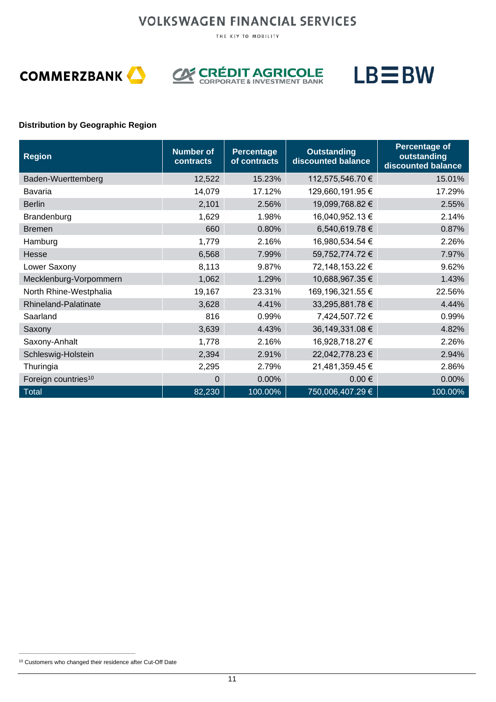THE KEY TO MOBILITY







#### **Distribution by Geographic Region**

| <b>Region</b>                   | <b>Number of</b><br>contracts | Percentage<br>of contracts | <b>Outstanding</b><br>discounted balance | <b>Percentage of</b><br>outstanding<br>discounted balance |
|---------------------------------|-------------------------------|----------------------------|------------------------------------------|-----------------------------------------------------------|
| Baden-Wuerttemberg              | 12,522                        | 15.23%                     | 112,575,546.70 €                         | 15.01%                                                    |
| Bavaria                         | 14,079                        | 17.12%                     | 129,660,191.95 €                         | 17.29%                                                    |
| <b>Berlin</b>                   | 2,101                         | 2.56%                      | 19,099,768.82 €                          | 2.55%                                                     |
| Brandenburg                     | 1,629                         | 1.98%                      | 16,040,952.13 €                          | 2.14%                                                     |
| <b>Bremen</b>                   | 660                           | 0.80%                      | 6,540,619.78 €                           | 0.87%                                                     |
| Hamburg                         | 1,779                         | 2.16%                      | 16,980,534.54 €                          | 2.26%                                                     |
| Hesse                           | 6,568                         | 7.99%                      | 59,752,774.72 €                          | 7.97%                                                     |
| Lower Saxony                    | 8,113                         | 9.87%                      | 72,148,153.22 €                          | 9.62%                                                     |
| Mecklenburg-Vorpommern          | 1,062                         | 1.29%                      | 10,688,967.35 €                          | 1.43%                                                     |
| North Rhine-Westphalia          | 19,167                        | 23.31%                     | 169,196,321.55 €                         | 22.56%                                                    |
| Rhineland-Palatinate            | 3,628                         | 4.41%                      | 33,295,881.78 €                          | 4.44%                                                     |
| Saarland                        | 816                           | 0.99%                      | 7,424,507.72 €                           | 0.99%                                                     |
| Saxony                          | 3,639                         | 4.43%                      | 36,149,331.08 €                          | 4.82%                                                     |
| Saxony-Anhalt                   | 1,778                         | 2.16%                      | 16,928,718.27 €                          | 2.26%                                                     |
| Schleswig-Holstein              | 2,394                         | 2.91%                      | 22,042,778.23 €                          | 2.94%                                                     |
| Thuringia                       | 2,295                         | 2.79%                      | 21,481,359.45 €                          | 2.86%                                                     |
| Foreign countries <sup>10</sup> | $\overline{0}$                | 0.00%                      | $0.00 \in$                               | 0.00%                                                     |
| Total                           | 82,230                        | 100.00%                    | 750,006,407.29 €                         | 100.00%                                                   |

**\_\_\_\_\_\_\_\_\_\_\_\_\_\_\_\_\_\_\_\_\_\_\_\_\_\_\_\_\_\_\_\_\_\_\_\_**

<sup>10</sup> Customers who changed their residence after Cut-Off Date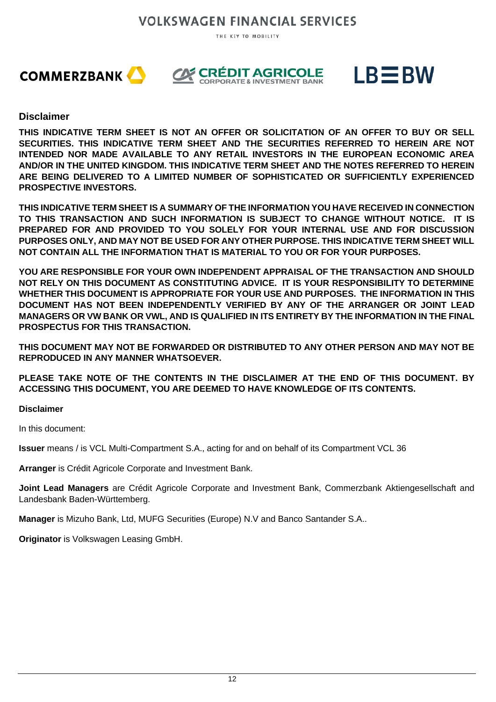THE KEY TO MOBILITY







#### **Disclaimer**

**THIS INDICATIVE TERM SHEET IS NOT AN OFFER OR SOLICITATION OF AN OFFER TO BUY OR SELL SECURITIES. THIS INDICATIVE TERM SHEET AND THE SECURITIES REFERRED TO HEREIN ARE NOT INTENDED NOR MADE AVAILABLE TO ANY RETAIL INVESTORS IN THE EUROPEAN ECONOMIC AREA AND/OR IN THE UNITED KINGDOM. THIS INDICATIVE TERM SHEET AND THE NOTES REFERRED TO HEREIN ARE BEING DELIVERED TO A LIMITED NUMBER OF SOPHISTICATED OR SUFFICIENTLY EXPERIENCED PROSPECTIVE INVESTORS.**

**THIS INDICATIVE TERM SHEET IS A SUMMARY OF THE INFORMATION YOU HAVE RECEIVED IN CONNECTION TO THIS TRANSACTION AND SUCH INFORMATION IS SUBJECT TO CHANGE WITHOUT NOTICE. IT IS PREPARED FOR AND PROVIDED TO YOU SOLELY FOR YOUR INTERNAL USE AND FOR DISCUSSION PURPOSES ONLY, AND MAY NOT BE USED FOR ANY OTHER PURPOSE. THIS INDICATIVE TERM SHEET WILL NOT CONTAIN ALL THE INFORMATION THAT IS MATERIAL TO YOU OR FOR YOUR PURPOSES.** 

**YOU ARE RESPONSIBLE FOR YOUR OWN INDEPENDENT APPRAISAL OF THE TRANSACTION AND SHOULD NOT RELY ON THIS DOCUMENT AS CONSTITUTING ADVICE. IT IS YOUR RESPONSIBILITY TO DETERMINE WHETHER THIS DOCUMENT IS APPROPRIATE FOR YOUR USE AND PURPOSES. THE INFORMATION IN THIS DOCUMENT HAS NOT BEEN INDEPENDENTLY VERIFIED BY ANY OF THE ARRANGER OR JOINT LEAD MANAGERS OR VW BANK OR VWL, AND IS QUALIFIED IN ITS ENTIRETY BY THE INFORMATION IN THE FINAL PROSPECTUS FOR THIS TRANSACTION.** 

**THIS DOCUMENT MAY NOT BE FORWARDED OR DISTRIBUTED TO ANY OTHER PERSON AND MAY NOT BE REPRODUCED IN ANY MANNER WHATSOEVER.**

**PLEASE TAKE NOTE OF THE CONTENTS IN THE DISCLAIMER AT THE END OF THIS DOCUMENT. BY ACCESSING THIS DOCUMENT, YOU ARE DEEMED TO HAVE KNOWLEDGE OF ITS CONTENTS.**

#### **Disclaimer**

In this document:

**Issuer** means / is VCL Multi-Compartment S.A., acting for and on behalf of its Compartment VCL 36

**Arranger** is Crédit Agricole Corporate and Investment Bank.

**Joint Lead Managers** are Crédit Agricole Corporate and Investment Bank, Commerzbank Aktiengesellschaft and Landesbank Baden-Württemberg.

**Manager** is Mizuho Bank, Ltd, MUFG Securities (Europe) N.V and Banco Santander S.A..

**Originator** is Volkswagen Leasing GmbH.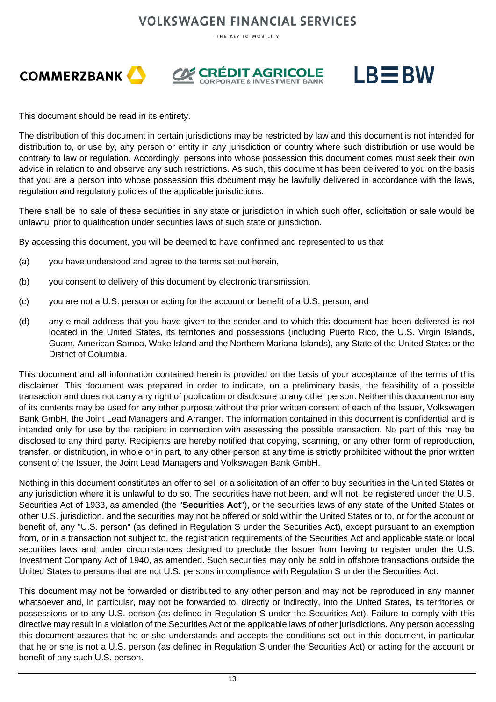THE KEY TO MOBILITY







This document should be read in its entirety.

The distribution of this document in certain jurisdictions may be restricted by law and this document is not intended for distribution to, or use by, any person or entity in any jurisdiction or country where such distribution or use would be contrary to law or regulation. Accordingly, persons into whose possession this document comes must seek their own advice in relation to and observe any such restrictions. As such, this document has been delivered to you on the basis that you are a person into whose possession this document may be lawfully delivered in accordance with the laws, regulation and regulatory policies of the applicable jurisdictions.

There shall be no sale of these securities in any state or jurisdiction in which such offer, solicitation or sale would be unlawful prior to qualification under securities laws of such state or jurisdiction.

By accessing this document, you will be deemed to have confirmed and represented to us that

- (a) you have understood and agree to the terms set out herein,
- (b) you consent to delivery of this document by electronic transmission,
- (c) you are not a U.S. person or acting for the account or benefit of a U.S. person, and
- (d) any e-mail address that you have given to the sender and to which this document has been delivered is not located in the United States, its territories and possessions (including Puerto Rico, the U.S. Virgin Islands, Guam, American Samoa, Wake Island and the Northern Mariana Islands), any State of the United States or the District of Columbia.

This document and all information contained herein is provided on the basis of your acceptance of the terms of this disclaimer. This document was prepared in order to indicate, on a preliminary basis, the feasibility of a possible transaction and does not carry any right of publication or disclosure to any other person. Neither this document nor any of its contents may be used for any other purpose without the prior written consent of each of the Issuer, Volkswagen Bank GmbH, the Joint Lead Managers and Arranger. The information contained in this document is confidential and is intended only for use by the recipient in connection with assessing the possible transaction. No part of this may be disclosed to any third party. Recipients are hereby notified that copying, scanning, or any other form of reproduction, transfer, or distribution, in whole or in part, to any other person at any time is strictly prohibited without the prior written consent of the Issuer, the Joint Lead Managers and Volkswagen Bank GmbH.

Nothing in this document constitutes an offer to sell or a solicitation of an offer to buy securities in the United States or any jurisdiction where it is unlawful to do so. The securities have not been, and will not, be registered under the U.S. Securities Act of 1933, as amended (the "**Securities Act**"), or the securities laws of any state of the United States or other U.S. jurisdiction. and the securities may not be offered or sold within the United States or to, or for the account or benefit of, any "U.S. person" (as defined in Regulation S under the Securities Act), except pursuant to an exemption from, or in a transaction not subject to, the registration requirements of the Securities Act and applicable state or local securities laws and under circumstances designed to preclude the Issuer from having to register under the U.S. Investment Company Act of 1940, as amended. Such securities may only be sold in offshore transactions outside the United States to persons that are not U.S. persons in compliance with Regulation S under the Securities Act.

This document may not be forwarded or distributed to any other person and may not be reproduced in any manner whatsoever and, in particular, may not be forwarded to, directly or indirectly, into the United States, its territories or possessions or to any U.S. person (as defined in Regulation S under the Securities Act). Failure to comply with this directive may result in a violation of the Securities Act or the applicable laws of other jurisdictions. Any person accessing this document assures that he or she understands and accepts the conditions set out in this document, in particular that he or she is not a U.S. person (as defined in Regulation S under the Securities Act) or acting for the account or benefit of any such U.S. person.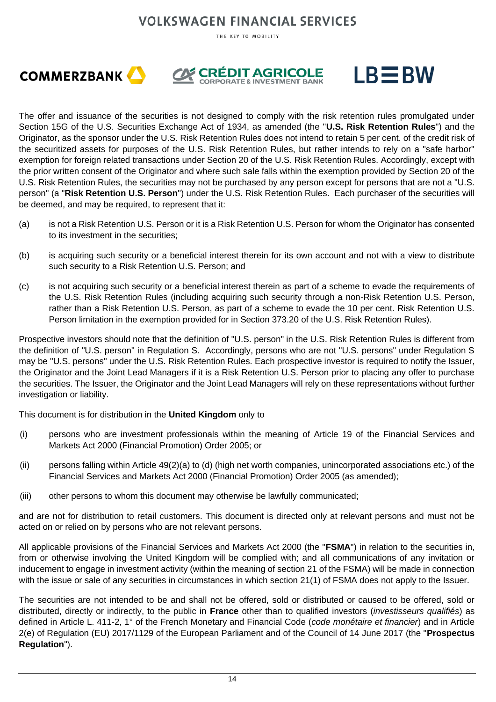THE KEY TO MOBILITY







The offer and issuance of the securities is not designed to comply with the risk retention rules promulgated under Section 15G of the U.S. Securities Exchange Act of 1934, as amended (the "**U.S. Risk Retention Rules**") and the Originator, as the sponsor under the U.S. Risk Retention Rules does not intend to retain 5 per cent. of the credit risk of the securitized assets for purposes of the U.S. Risk Retention Rules, but rather intends to rely on a "safe harbor" exemption for foreign related transactions under Section 20 of the U.S. Risk Retention Rules. Accordingly, except with the prior written consent of the Originator and where such sale falls within the exemption provided by Section 20 of the U.S. Risk Retention Rules, the securities may not be purchased by any person except for persons that are not a "U.S. person" (a "**Risk Retention U.S. Person**") under the U.S. Risk Retention Rules. Each purchaser of the securities will be deemed, and may be required, to represent that it:

- (a) is not a Risk Retention U.S. Person or it is a Risk Retention U.S. Person for whom the Originator has consented to its investment in the securities;
- (b) is acquiring such security or a beneficial interest therein for its own account and not with a view to distribute such security to a Risk Retention U.S. Person; and
- (c) is not acquiring such security or a beneficial interest therein as part of a scheme to evade the requirements of the U.S. Risk Retention Rules (including acquiring such security through a non-Risk Retention U.S. Person, rather than a Risk Retention U.S. Person, as part of a scheme to evade the 10 per cent. Risk Retention U.S. Person limitation in the exemption provided for in Section 373.20 of the U.S. Risk Retention Rules).

Prospective investors should note that the definition of "U.S. person" in the U.S. Risk Retention Rules is different from the definition of "U.S. person" in Regulation S. Accordingly, persons who are not "U.S. persons" under Regulation S may be "U.S. persons" under the U.S. Risk Retention Rules. Each prospective investor is required to notify the Issuer, the Originator and the Joint Lead Managers if it is a Risk Retention U.S. Person prior to placing any offer to purchase the securities. The Issuer, the Originator and the Joint Lead Managers will rely on these representations without further investigation or liability.

This document is for distribution in the **United Kingdom** only to

- (i) persons who are investment professionals within the meaning of Article 19 of the Financial Services and Markets Act 2000 (Financial Promotion) Order 2005; or
- (ii) persons falling within Article 49(2)(a) to (d) (high net worth companies, unincorporated associations etc.) of the Financial Services and Markets Act 2000 (Financial Promotion) Order 2005 (as amended);
- (iii) other persons to whom this document may otherwise be lawfully communicated;

and are not for distribution to retail customers. This document is directed only at relevant persons and must not be acted on or relied on by persons who are not relevant persons.

All applicable provisions of the Financial Services and Markets Act 2000 (the "**FSMA**") in relation to the securities in, from or otherwise involving the United Kingdom will be complied with; and all communications of any invitation or inducement to engage in investment activity (within the meaning of section 21 of the FSMA) will be made in connection with the issue or sale of any securities in circumstances in which section 21(1) of FSMA does not apply to the Issuer.

The securities are not intended to be and shall not be offered, sold or distributed or caused to be offered, sold or distributed, directly or indirectly, to the public in **France** other than to qualified investors (*investisseurs qualifiés*) as defined in Article L. 411-2, 1° of the French Monetary and Financial Code (*code monétaire et financier*) and in Article 2(e) of Regulation (EU) 2017/1129 of the European Parliament and of the Council of 14 June 2017 (the "**Prospectus Regulation**").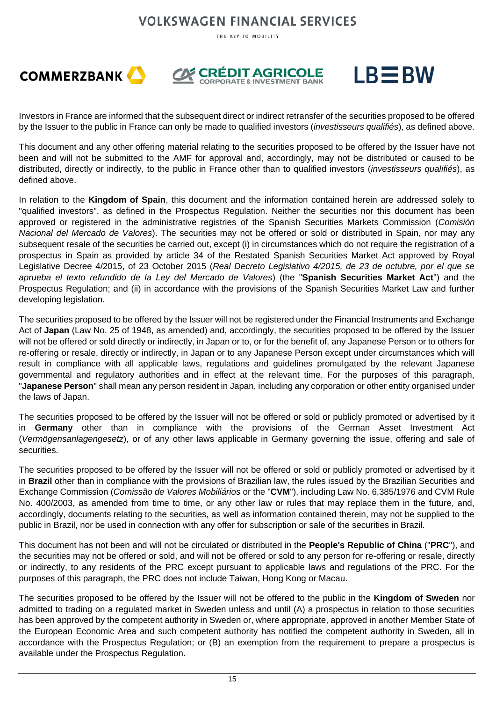THE KEY TO MOBILITY







Investors in France are informed that the subsequent direct or indirect retransfer of the securities proposed to be offered by the Issuer to the public in France can only be made to qualified investors (*investisseurs qualifiés*), as defined above.

This document and any other offering material relating to the securities proposed to be offered by the Issuer have not been and will not be submitted to the AMF for approval and, accordingly, may not be distributed or caused to be distributed, directly or indirectly, to the public in France other than to qualified investors (*investisseurs qualifiés*), as defined above.

In relation to the **Kingdom of Spain**, this document and the information contained herein are addressed solely to "qualified investors", as defined in the Prospectus Regulation. Neither the securities nor this document has been approved or registered in the administrative registries of the Spanish Securities Markets Commission (*Comisión Nacional del Mercado de Valores*). The securities may not be offered or sold or distributed in Spain, nor may any subsequent resale of the securities be carried out, except (i) in circumstances which do not require the registration of a prospectus in Spain as provided by article 34 of the Restated Spanish Securities Market Act approved by Royal Legislative Decree 4/2015, of 23 October 2015 (*Real Decreto Legislativo 4/2015, de 23 de octubre, por el que se aprueba el texto refundido de la Ley del Mercado de Valores*) (the "**Spanish Securities Market Act**") and the Prospectus Regulation; and (ii) in accordance with the provisions of the Spanish Securities Market Law and further developing legislation.

The securities proposed to be offered by the Issuer will not be registered under the Financial Instruments and Exchange Act of **Japan** (Law No. 25 of 1948, as amended) and, accordingly, the securities proposed to be offered by the Issuer will not be offered or sold directly or indirectly, in Japan or to, or for the benefit of, any Japanese Person or to others for re-offering or resale, directly or indirectly, in Japan or to any Japanese Person except under circumstances which will result in compliance with all applicable laws, regulations and guidelines promulgated by the relevant Japanese governmental and regulatory authorities and in effect at the relevant time. For the purposes of this paragraph, "**Japanese Person**" shall mean any person resident in Japan, including any corporation or other entity organised under the laws of Japan.

The securities proposed to be offered by the Issuer will not be offered or sold or publicly promoted or advertised by it in **Germany** other than in compliance with the provisions of the German Asset Investment Act (*Vermögensanlagengesetz*), or of any other laws applicable in Germany governing the issue, offering and sale of securities.

The securities proposed to be offered by the Issuer will not be offered or sold or publicly promoted or advertised by it in **Brazil** other than in compliance with the provisions of Brazilian law, the rules issued by the Brazilian Securities and Exchange Commission (*Comissão de Valores Mobiliários* or the "**CVM**"), including Law No. 6,385/1976 and CVM Rule No. 400/2003, as amended from time to time, or any other law or rules that may replace them in the future, and, accordingly, documents relating to the securities, as well as information contained therein, may not be supplied to the public in Brazil, nor be used in connection with any offer for subscription or sale of the securities in Brazil.

This document has not been and will not be circulated or distributed in the **People's Republic of China** ("**PRC**"), and the securities may not be offered or sold, and will not be offered or sold to any person for re-offering or resale, directly or indirectly, to any residents of the PRC except pursuant to applicable laws and regulations of the PRC. For the purposes of this paragraph, the PRC does not include Taiwan, Hong Kong or Macau.

The securities proposed to be offered by the Issuer will not be offered to the public in the **Kingdom of Sweden** nor admitted to trading on a regulated market in Sweden unless and until (A) a prospectus in relation to those securities has been approved by the competent authority in Sweden or, where appropriate, approved in another Member State of the European Economic Area and such competent authority has notified the competent authority in Sweden, all in accordance with the Prospectus Regulation; or (B) an exemption from the requirement to prepare a prospectus is available under the Prospectus Regulation.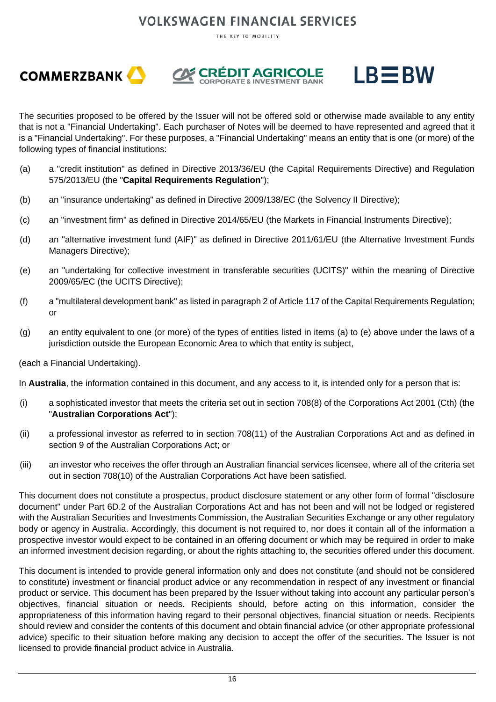THE KEY TO MOBILITY







The securities proposed to be offered by the Issuer will not be offered sold or otherwise made available to any entity that is not a "Financial Undertaking". Each purchaser of Notes will be deemed to have represented and agreed that it is a "Financial Undertaking". For these purposes, a "Financial Undertaking" means an entity that is one (or more) of the following types of financial institutions:

- (a) a "credit institution" as defined in Directive 2013/36/EU (the Capital Requirements Directive) and Regulation 575/2013/EU (the "**Capital Requirements Regulation**");
- (b) an "insurance undertaking" as defined in Directive 2009/138/EC (the Solvency II Directive);
- (c) an "investment firm" as defined in Directive 2014/65/EU (the Markets in Financial Instruments Directive);
- (d) an "alternative investment fund (AIF)" as defined in Directive 2011/61/EU (the Alternative Investment Funds Managers Directive);
- (e) an "undertaking for collective investment in transferable securities (UCITS)" within the meaning of Directive 2009/65/EC (the UCITS Directive);
- (f) a "multilateral development bank" as listed in paragraph 2 of Article 117 of the Capital Requirements Regulation; or
- (g) an entity equivalent to one (or more) of the types of entities listed in items (a) to (e) above under the laws of a jurisdiction outside the European Economic Area to which that entity is subject,

(each a Financial Undertaking).

In **Australia**, the information contained in this document, and any access to it, is intended only for a person that is:

- (i) a sophisticated investor that meets the criteria set out in section 708(8) of the Corporations Act 2001 (Cth) (the "**Australian Corporations Act**");
- (ii) a professional investor as referred to in section 708(11) of the Australian Corporations Act and as defined in section 9 of the Australian Corporations Act; or
- (iii) an investor who receives the offer through an Australian financial services licensee, where all of the criteria set out in section 708(10) of the Australian Corporations Act have been satisfied.

This document does not constitute a prospectus, product disclosure statement or any other form of formal "disclosure document" under Part 6D.2 of the Australian Corporations Act and has not been and will not be lodged or registered with the Australian Securities and Investments Commission, the Australian Securities Exchange or any other regulatory body or agency in Australia. Accordingly, this document is not required to, nor does it contain all of the information a prospective investor would expect to be contained in an offering document or which may be required in order to make an informed investment decision regarding, or about the rights attaching to, the securities offered under this document.

This document is intended to provide general information only and does not constitute (and should not be considered to constitute) investment or financial product advice or any recommendation in respect of any investment or financial product or service. This document has been prepared by the Issuer without taking into account any particular person's objectives, financial situation or needs. Recipients should, before acting on this information, consider the appropriateness of this information having regard to their personal objectives, financial situation or needs. Recipients should review and consider the contents of this document and obtain financial advice (or other appropriate professional advice) specific to their situation before making any decision to accept the offer of the securities. The Issuer is not licensed to provide financial product advice in Australia.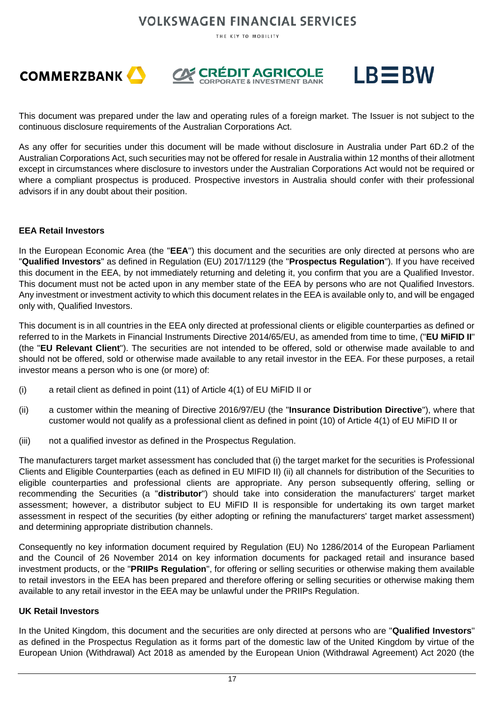THE KEY TO MOBILITY







This document was prepared under the law and operating rules of a foreign market. The Issuer is not subject to the continuous disclosure requirements of the Australian Corporations Act.

As any offer for securities under this document will be made without disclosure in Australia under Part 6D.2 of the Australian Corporations Act, such securities may not be offered for resale in Australia within 12 months of their allotment except in circumstances where disclosure to investors under the Australian Corporations Act would not be required or where a compliant prospectus is produced. Prospective investors in Australia should confer with their professional advisors if in any doubt about their position.

#### **EEA Retail Investors**

In the European Economic Area (the "**EEA**") this document and the securities are only directed at persons who are "**Qualified Investors**" as defined in Regulation (EU) 2017/1129 (the "**Prospectus Regulation**"). If you have received this document in the EEA, by not immediately returning and deleting it, you confirm that you are a Qualified Investor. This document must not be acted upon in any member state of the EEA by persons who are not Qualified Investors. Any investment or investment activity to which this document relates in the EEA is available only to, and will be engaged only with, Qualified Investors.

This document is in all countries in the EEA only directed at professional clients or eligible counterparties as defined or referred to in the Markets in Financial Instruments Directive 2014/65/EU, as amended from time to time, ("**EU MiFID II**" (the "**EU Relevant Client**"). The securities are not intended to be offered, sold or otherwise made available to and should not be offered, sold or otherwise made available to any retail investor in the EEA. For these purposes, a retail investor means a person who is one (or more) of:

- (i) a retail client as defined in point (11) of Article 4(1) of EU MiFID II or
- (ii) a customer within the meaning of Directive 2016/97/EU (the "**Insurance Distribution Directive**"), where that customer would not qualify as a professional client as defined in point (10) of Article 4(1) of EU MiFID II or
- (iii) not a qualified investor as defined in the Prospectus Regulation.

The manufacturers target market assessment has concluded that (i) the target market for the securities is Professional Clients and Eligible Counterparties (each as defined in EU MIFID II) (ii) all channels for distribution of the Securities to eligible counterparties and professional clients are appropriate. Any person subsequently offering, selling or recommending the Securities (a "**distributor**") should take into consideration the manufacturers' target market assessment; however, a distributor subject to EU MiFID II is responsible for undertaking its own target market assessment in respect of the securities (by either adopting or refining the manufacturers' target market assessment) and determining appropriate distribution channels.

Consequently no key information document required by Regulation (EU) No 1286/2014 of the European Parliament and the Council of 26 November 2014 on key information documents for packaged retail and insurance based investment products, or the "**PRIIPs Regulation**", for offering or selling securities or otherwise making them available to retail investors in the EEA has been prepared and therefore offering or selling securities or otherwise making them available to any retail investor in the EEA may be unlawful under the PRIIPs Regulation.

#### **UK Retail Investors**

In the United Kingdom, this document and the securities are only directed at persons who are "**Qualified Investors**" as defined in the Prospectus Regulation as it forms part of the domestic law of the United Kingdom by virtue of the European Union (Withdrawal) Act 2018 as amended by the European Union (Withdrawal Agreement) Act 2020 (the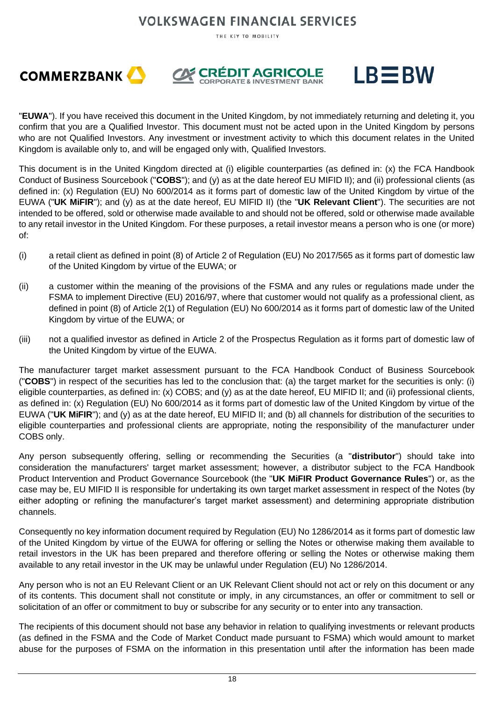THE KEY TO MOBILITY







"**EUWA**"). If you have received this document in the United Kingdom, by not immediately returning and deleting it, you confirm that you are a Qualified Investor. This document must not be acted upon in the United Kingdom by persons who are not Qualified Investors. Any investment or investment activity to which this document relates in the United Kingdom is available only to, and will be engaged only with, Qualified Investors.

This document is in the United Kingdom directed at (i) eligible counterparties (as defined in: (x) the FCA Handbook Conduct of Business Sourcebook ("**COBS**"); and (y) as at the date hereof EU MIFID II); and (ii) professional clients (as defined in: (x) Regulation (EU) No 600/2014 as it forms part of domestic law of the United Kingdom by virtue of the EUWA ("**UK MiFIR**"); and (y) as at the date hereof, EU MIFID II) (the "**UK Relevant Client**"). The securities are not intended to be offered, sold or otherwise made available to and should not be offered, sold or otherwise made available to any retail investor in the United Kingdom. For these purposes, a retail investor means a person who is one (or more) of:

- (i) a retail client as defined in point (8) of Article 2 of Regulation (EU) No 2017/565 as it forms part of domestic law of the United Kingdom by virtue of the EUWA; or
- (ii) a customer within the meaning of the provisions of the FSMA and any rules or regulations made under the FSMA to implement Directive (EU) 2016/97, where that customer would not qualify as a professional client, as defined in point (8) of Article 2(1) of Regulation (EU) No 600/2014 as it forms part of domestic law of the United Kingdom by virtue of the EUWA; or
- (iii) not a qualified investor as defined in Article 2 of the Prospectus Regulation as it forms part of domestic law of the United Kingdom by virtue of the EUWA.

The manufacturer target market assessment pursuant to the FCA Handbook Conduct of Business Sourcebook ("**COBS**") in respect of the securities has led to the conclusion that: (a) the target market for the securities is only: (i) eligible counterparties, as defined in: (x) COBS; and (y) as at the date hereof, EU MIFID II; and (ii) professional clients, as defined in: (x) Regulation (EU) No 600/2014 as it forms part of domestic law of the United Kingdom by virtue of the EUWA ("**UK MiFIR**"); and (y) as at the date hereof, EU MIFID II; and (b) all channels for distribution of the securities to eligible counterparties and professional clients are appropriate, noting the responsibility of the manufacturer under COBS only.

Any person subsequently offering, selling or recommending the Securities (a "**distributor**") should take into consideration the manufacturers' target market assessment; however, a distributor subject to the FCA Handbook Product Intervention and Product Governance Sourcebook (the "**UK MiFIR Product Governance Rules**") or, as the case may be, EU MIFID II is responsible for undertaking its own target market assessment in respect of the Notes (by either adopting or refining the manufacturer's target market assessment) and determining appropriate distribution channels.

Consequently no key information document required by Regulation (EU) No 1286/2014 as it forms part of domestic law of the United Kingdom by virtue of the EUWA for offering or selling the Notes or otherwise making them available to retail investors in the UK has been prepared and therefore offering or selling the Notes or otherwise making them available to any retail investor in the UK may be unlawful under Regulation (EU) No 1286/2014.

Any person who is not an EU Relevant Client or an UK Relevant Client should not act or rely on this document or any of its contents. This document shall not constitute or imply, in any circumstances, an offer or commitment to sell or solicitation of an offer or commitment to buy or subscribe for any security or to enter into any transaction.

The recipients of this document should not base any behavior in relation to qualifying investments or relevant products (as defined in the FSMA and the Code of Market Conduct made pursuant to FSMA) which would amount to market abuse for the purposes of FSMA on the information in this presentation until after the information has been made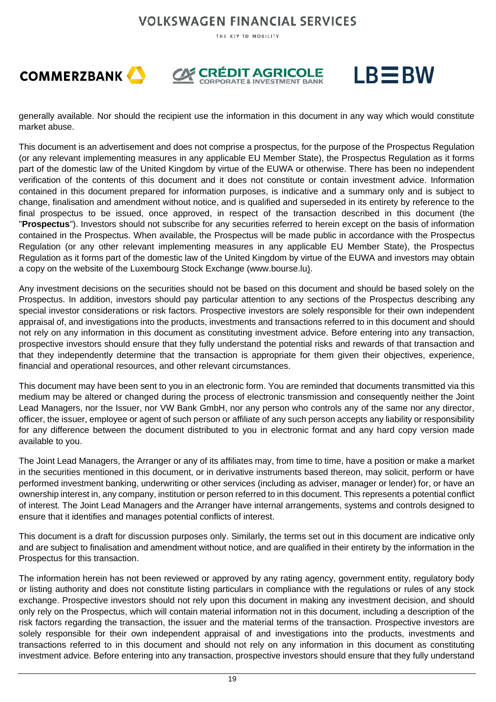THE KEY TO MOBILITY







generally available. Nor should the recipient use the information in this document in any way which would constitute market abuse.

This document is an advertisement and does not comprise a prospectus, for the purpose of the Prospectus Regulation (or any relevant implementing measures in any applicable EU Member State), the Prospectus Regulation as it forms part of the domestic law of the United Kingdom by virtue of the EUWA or otherwise. There has been no independent verification of the contents of this document and it does not constitute or contain investment advice. Information contained in this document prepared for information purposes, is indicative and a summary only and is subject to change, finalisation and amendment without notice, and is qualified and superseded in its entirety by reference to the final prospectus to be issued, once approved, in respect of the transaction described in this document (the "**Prospectus**"). Investors should not subscribe for any securities referred to herein except on the basis of information contained in the Prospectus. When available, the Prospectus will be made public in accordance with the Prospectus Regulation (or any other relevant implementing measures in any applicable EU Member State), the Prospectus Regulation as it forms part of the domestic law of the United Kingdom by virtue of the EUWA and investors may obtain a copy on the website of the Luxembourg Stock Exchange (www.bourse.lu).

Any investment decisions on the securities should not be based on this document and should be based solely on the Prospectus. In addition, investors should pay particular attention to any sections of the Prospectus describing any special investor considerations or risk factors. Prospective investors are solely responsible for their own independent appraisal of, and investigations into the products, investments and transactions referred to in this document and should not rely on any information in this document as constituting investment advice. Before entering into any transaction, prospective investors should ensure that they fully understand the potential risks and rewards of that transaction and that they independently determine that the transaction is appropriate for them given their objectives, experience, financial and operational resources, and other relevant circumstances.

This document may have been sent to you in an electronic form. You are reminded that documents transmitted via this medium may be altered or changed during the process of electronic transmission and consequently neither the Joint Lead Managers, nor the Issuer, nor VW Bank GmbH, nor any person who controls any of the same nor any director, officer, the issuer, employee or agent of such person or affiliate of any such person accepts any liability or responsibility for any difference between the document distributed to you in electronic format and any hard copy version made available to you.

The Joint Lead Managers, the Arranger or any of its affiliates may, from time to time, have a position or make a market in the securities mentioned in this document, or in derivative instruments based thereon, may solicit, perform or have performed investment banking, underwriting or other services (including as adviser, manager or lender) for, or have an ownership interest in, any company, institution or person referred to in this document. This represents a potential conflict of interest. The Joint Lead Managers and the Arranger have internal arrangements, systems and controls designed to ensure that it identifies and manages potential conflicts of interest.

This document is a draft for discussion purposes only. Similarly, the terms set out in this document are indicative only and are subject to finalisation and amendment without notice, and are qualified in their entirety by the information in the Prospectus for this transaction.

The information herein has not been reviewed or approved by any rating agency, government entity, regulatory body or listing authority and does not constitute listing particulars in compliance with the regulations or rules of any stock exchange. Prospective investors should not rely upon this document in making any investment decision, and should only rely on the Prospectus, which will contain material information not in this document, including a description of the risk factors regarding the transaction, the issuer and the material terms of the transaction. Prospective investors are solely responsible for their own independent appraisal of and investigations into the products, investments and transactions referred to in this document and should not rely on any information in this document as constituting investment advice. Before entering into any transaction, prospective investors should ensure that they fully understand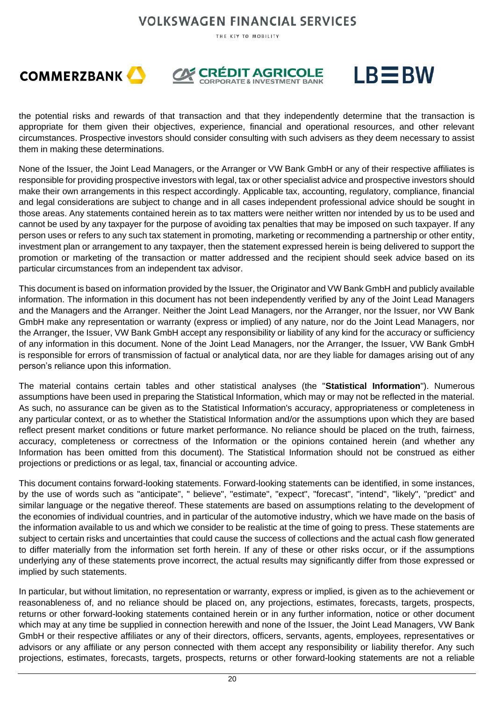THE KEY TO MOBILITY







the potential risks and rewards of that transaction and that they independently determine that the transaction is appropriate for them given their objectives, experience, financial and operational resources, and other relevant circumstances. Prospective investors should consider consulting with such advisers as they deem necessary to assist them in making these determinations.

None of the Issuer, the Joint Lead Managers, or the Arranger or VW Bank GmbH or any of their respective affiliates is responsible for providing prospective investors with legal, tax or other specialist advice and prospective investors should make their own arrangements in this respect accordingly. Applicable tax, accounting, regulatory, compliance, financial and legal considerations are subject to change and in all cases independent professional advice should be sought in those areas. Any statements contained herein as to tax matters were neither written nor intended by us to be used and cannot be used by any taxpayer for the purpose of avoiding tax penalties that may be imposed on such taxpayer. If any person uses or refers to any such tax statement in promoting, marketing or recommending a partnership or other entity, investment plan or arrangement to any taxpayer, then the statement expressed herein is being delivered to support the promotion or marketing of the transaction or matter addressed and the recipient should seek advice based on its particular circumstances from an independent tax advisor.

This document is based on information provided by the Issuer, the Originator and VW Bank GmbH and publicly available information. The information in this document has not been independently verified by any of the Joint Lead Managers and the Managers and the Arranger. Neither the Joint Lead Managers, nor the Arranger, nor the Issuer, nor VW Bank GmbH make any representation or warranty (express or implied) of any nature, nor do the Joint Lead Managers, nor the Arranger, the Issuer, VW Bank GmbH accept any responsibility or liability of any kind for the accuracy or sufficiency of any information in this document. None of the Joint Lead Managers, nor the Arranger, the Issuer, VW Bank GmbH is responsible for errors of transmission of factual or analytical data, nor are they liable for damages arising out of any person's reliance upon this information.

The material contains certain tables and other statistical analyses (the "**Statistical Information**"). Numerous assumptions have been used in preparing the Statistical Information, which may or may not be reflected in the material. As such, no assurance can be given as to the Statistical Information's accuracy, appropriateness or completeness in any particular context, or as to whether the Statistical Information and/or the assumptions upon which they are based reflect present market conditions or future market performance. No reliance should be placed on the truth, fairness, accuracy, completeness or correctness of the Information or the opinions contained herein (and whether any Information has been omitted from this document). The Statistical Information should not be construed as either projections or predictions or as legal, tax, financial or accounting advice.

This document contains forward-looking statements. Forward-looking statements can be identified, in some instances, by the use of words such as "anticipate", " believe", "estimate", "expect", "forecast", "intend", "likely", "predict" and similar language or the negative thereof. These statements are based on assumptions relating to the development of the economies of individual countries, and in particular of the automotive industry, which we have made on the basis of the information available to us and which we consider to be realistic at the time of going to press. These statements are subject to certain risks and uncertainties that could cause the success of collections and the actual cash flow generated to differ materially from the information set forth herein. If any of these or other risks occur, or if the assumptions underlying any of these statements prove incorrect, the actual results may significantly differ from those expressed or implied by such statements.

In particular, but without limitation, no representation or warranty, express or implied, is given as to the achievement or reasonableness of, and no reliance should be placed on, any projections, estimates, forecasts, targets, prospects, returns or other forward-looking statements contained herein or in any further information, notice or other document which may at any time be supplied in connection herewith and none of the Issuer, the Joint Lead Managers, VW Bank GmbH or their respective affiliates or any of their directors, officers, servants, agents, employees, representatives or advisors or any affiliate or any person connected with them accept any responsibility or liability therefor. Any such projections, estimates, forecasts, targets, prospects, returns or other forward-looking statements are not a reliable